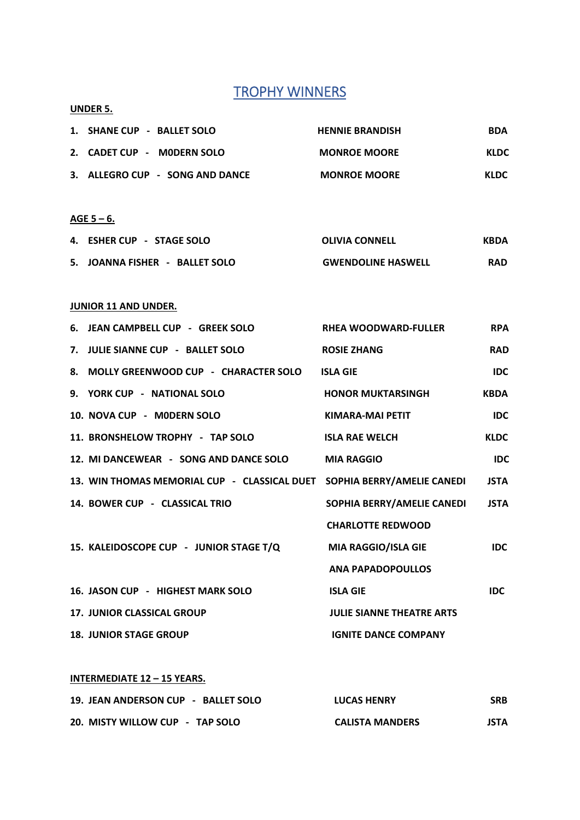# **TROPHY WINNERS**

## **UNDER 5.**

| 1. SHANE CUP - BALLET SOLO      | <b>HENNIE BRANDISH</b> | <b>BDA</b>  |
|---------------------------------|------------------------|-------------|
| 2. CADET CUP - MODERN SOLO      | <b>MONROE MOORE</b>    | <b>KLDC</b> |
| 3. ALLEGRO CUP - SONG AND DANCE | <b>MONROE MOORE</b>    | <b>KLDC</b> |

### **AGE 5 – 6.**

| 4. ESHER CUP - STAGE SOLO      | <b>OLIVIA CONNELL</b>     | KBDA       |
|--------------------------------|---------------------------|------------|
| 5. JOANNA FISHER - BALLET SOLO | <b>GWENDOLINE HASWELL</b> | <b>RAD</b> |

## **JUNIOR 11 AND UNDER.**

| 6. JEAN CAMPBELL CUP - GREEK SOLO                                       | <b>RHEA WOODWARD-FULLER</b>      | <b>RPA</b>  |
|-------------------------------------------------------------------------|----------------------------------|-------------|
| 7. JULIE SIANNE CUP - BALLET SOLO                                       | <b>ROSIE ZHANG</b>               | <b>RAD</b>  |
| 8. MOLLY GREENWOOD CUP - CHARACTER SOLO                                 | <b>ISLA GIE</b>                  | <b>IDC</b>  |
| 9. YORK CUP - NATIONAL SOLO                                             | <b>HONOR MUKTARSINGH</b>         | <b>KBDA</b> |
| 10. NOVA CUP - MODERN SOLO                                              | KIMARA-MAI PETIT                 | <b>IDC</b>  |
| 11. BRONSHELOW TROPHY - TAP SOLO                                        | <b>ISLA RAE WELCH</b>            | <b>KLDC</b> |
| 12. MI DANCEWEAR - SONG AND DANCE SOLO                                  | <b>MIA RAGGIO</b>                | <b>IDC</b>  |
| 13. WIN THOMAS MEMORIAL CUP - CLASSICAL DUET SOPHIA BERRY/AMELIE CANEDI |                                  | <b>JSTA</b> |
| 14. BOWER CUP - CLASSICAL TRIO                                          | SOPHIA BERRY/AMELIE CANEDI       | <b>JSTA</b> |
|                                                                         | <b>CHARLOTTE REDWOOD</b>         |             |
| 15. KALEIDOSCOPE CUP - JUNIOR STAGE T/Q                                 | MIA RAGGIO/ISLA GIE              | <b>IDC</b>  |
|                                                                         | <b>ANA PAPADOPOULLOS</b>         |             |
| 16. JASON CUP - HIGHEST MARK SOLO                                       | <b>ISLA GIE</b>                  | <b>IDC</b>  |
| <b>17. JUNIOR CLASSICAL GROUP</b>                                       | <b>JULIE SIANNE THEATRE ARTS</b> |             |
| <b>18. JUNIOR STAGE GROUP</b>                                           | <b>IGNITE DANCE COMPANY</b>      |             |

#### **INTERMEDIATE 12 – 15 YEARS.**

| 19. JEAN ANDERSON CUP - BALLET SOLO | <b>LUCAS HENRY</b>     | <b>SRB</b>  |
|-------------------------------------|------------------------|-------------|
| 20. MISTY WILLOW CUP - TAP SOLO     | <b>CALISTA MANDERS</b> | <b>JSTA</b> |